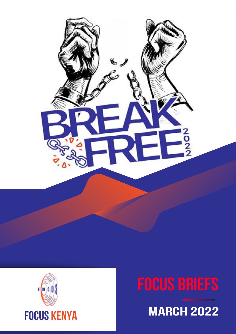

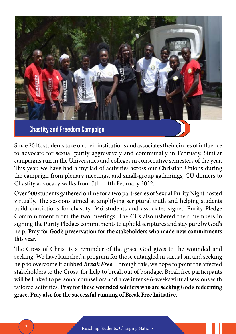

Since 2016, students take on their institutions and associates their circles of influence to advocate for sexual purity aggressively and communally in February. Similar campaigns run in the Universities and colleges in consecutive semesters of the year. This year, we have had a myriad of activities across our Christian Unions during the campaign from plenary meetings, and small-group gatherings, CU dinners to Chastity advocacy walks from 7th -14th February 2022.

Over 500 students gathered online for a two part-series of Sexual Purity Night hosted virtually. The sessions aimed at amplifying scriptural truth and helping students build convictions for chastity. 346 students and associates signed Purity Pledge Commmitment from the two meetings. The CUs also ushered their members in signing the Purity Pledges commitments to uphold scriptures and stay pure by God's help. **Pray for God's preservation for the stakeholders who made new commitments this year.**

The Cross of Christ is a reminder of the grace God gives to the wounded and seeking. We have launched a program for those entangled in sexual sin and seeking help to overcome it dubbed *Break Free*. Through this, we hope to point the affected stakeholders to the Cross, for help to break out of bondage. Break free participants will be linked to personal counsellors and have intense 6-weeks virtual sessions with tailored activities. **Pray for these wounded soldiers who are seeking God's redeeming grace. Pray also for the successful running of Break Free Initiative.**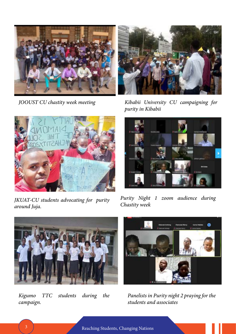



*JOOUST CU chastity week meeting Kibabii University CU campaigning for purity in Kibabii*



*JKUAT-CU students advocating for purity around Juja.*



*Purity Night 1 zoom audience during Chastity week* 



*Kigumo TTC students during the campaign.*



*Panelists in Purity night 2 praying for the students and associates*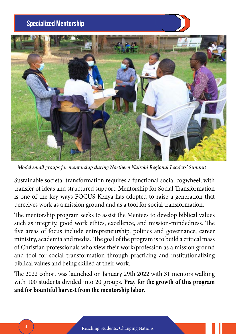### **Specialized Mentorship**



*Model small groups for mentorship during Northern Nairobi Regional Leaders' Summit*

Sustainable societal transformation requires a functional social cogwheel, with transfer of ideas and structured support. Mentorship for Social Transformation is one of the key ways FOCUS Kenya has adopted to raise a generation that perceives work as a mission ground and as a tool for social transformation.

The mentorship program seeks to assist the Mentees to develop biblical values such as integrity, good work ethics, excellence, and mission-mindedness. The five areas of focus include entrepreneurship, politics and governance, career ministry, academia and media. The goal of the program is to build a critical mass of Christian professionals who view their work/profession as a mission ground and tool for social transformation through practicing and institutionalizing biblical values and being skilled at their work.

The 2022 cohort was launched on January 29th 2022 with 31 mentors walking with 100 students divided into 20 groups. **Pray for the growth of this program and for bountiful harvest from the mentorship labor.**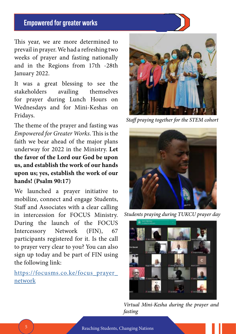### **Empowered for greater works**

This year, we are more determined to prevail in prayer. We had a refreshing two weeks of prayer and fasting nationally and in the Regions from 17th -28th January 2022.

It was a great blessing to see the stakeholders availing themselves for prayer during Lunch Hours on Wednesdays and for Mini-Keshas on Fridays.

The theme of the prayer and fasting was *Empowered for Greater Works*. This is the faith we bear ahead of the major plans underway for 2022 in the Ministry. **Let the favor of the Lord our God be upon us, and establish the work of our hands upon us; yes, establish the work of our hands! (Psalm 90:17)** 

We launched a prayer initiative to mobilize, connect and engage Students, Staff and Associates with a clear calling in intercession for FOCUS Ministry. During the launch of the FOCUS Intercessory Network (FIN), 67 participants registered for it. Is the call to prayer very clear to you? You can also sign up today and be part of FIN using the following link:

[https://focusms.co.ke/focus\\_prayer\\_](https://focusms.co.ke/focus_prayer_network) [network](https://focusms.co.ke/focus_prayer_network)



*Staff praying together for the STEM cohort*



*Students praying during TUKCU prayer day*



*Virtual Mini-Kesha during the prayer and fasting*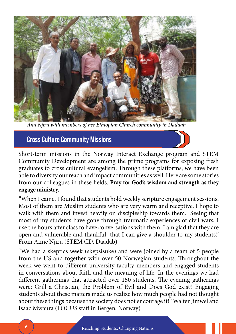

*Ann Njiru with members of her Ethiopian Church community in Dadaab*

**Cross Culture Community Missions**



Short-term missions in the Norway Interact Exchange program and STEM Community Development are among the prime programs for exposing fresh graduates to cross cultural evangelism. Through these platforms, we have been able to diversify our reach and impact communities as well. Here are some stories from our colleagues in these fields. **Pray for God's wisdom and strength as they engage ministry.**

"When I came, I found that students hold weekly scripture engagement sessions. Most of them are Muslim students who are very warm and receptive. I hope to walk with them and invest heavily on discipleship towards them. Seeing that most of my students have gone through traumatic experiences of civil wars, I use the hours after class to have conversations with them. I am glad that they are open and vulnerable and thankful that I can give a shoulder to my students." From Anne Njiru (STEM CD, Daadab)

"We had a skeptics week (skepsisuke) and were joined by a team of 5 people from the US and together with over 50 Norwegian students. Throughout the week we went to different university faculty members and engaged students in conversations about faith and the meaning of life. In the evenings we had different gatherings that attracted over 150 students. The evening gatherings were; Grill a Christian, the Problem of Evil and Does God exist? Engaging students about these matters made us realize how much people had not thought about these things because the society does not encourage it!" Walter Jimwel and Isaac Mwaura (FOCUS staff in Bergen, Norway)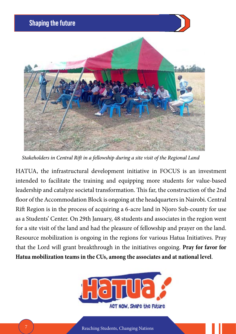

*Stakeholders in Central Rift in a fellowship during a site visit of the Regional Land*

HATUA, the infrastructural development initiative in FOCUS is an investment intended to facilitate the training and equipping more students for value-based leadership and catalyze societal transformation. This far, the construction of the 2nd floor of the Accommodation Block is ongoing at the headquarters in Nairobi. Central Rift Region is in the process of acquiring a 6-acre land in Njoro Sub-county for use as a Students' Center. On 29th January, 48 students and associates in the region went for a site visit of the land and had the pleasure of fellowship and prayer on the land. Resource mobilization is ongoing in the regions for various Hatua Initiatives. Pray that the Lord will grant breakthrough in the initiatives ongoing. **Pray for favor for Hatua mobilization teams in the CUs, among the associates and at national level**.

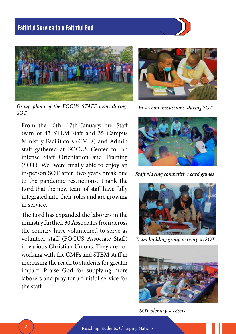



*Group photo of the FOCUS STAFF team during SOT*

From the 10th -17th January, our Staff team of 43 STEM staff and 35 Campus Ministry Facilitators (CMFs) and Admin staff gathered at FOCUS Center for an intense Staff Orientation and Training (SOT). We were finally able to enjoy an in-person SOT after two years break due to the pandemic restrictions. Thank the Lord that the new team of staff have fully integrated into their roles and are growing in service.

The Lord has expanded the laborers in the ministry further. 30 Associates from across the country have volunteered to serve as volunteer staff (FOCUS Associate Staff) in various Christian Unions. They are coworking with the CMFs and STEM staff in increasing the reach to students for greater impact. Praise God for supplying more laborers and pray for a fruitful service for the staff



*In session discussions during SOT*



*Staff playing competitive card games* 



*Team building group activity in SOT*



*SOT plenary sessions*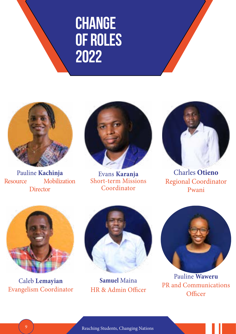



Pauline **Kachinja** Resource Mobilization **Director** 



Evans **Karanja** Short-term Missions Coordinator



Charles **Otieno** Regional Coordinator Pwani



Caleb **Lemayian** Evangelism Coordinator



**Samuel** Maina HR & Admin Officer



Pauline **Waweru** PR and Communications **Officer**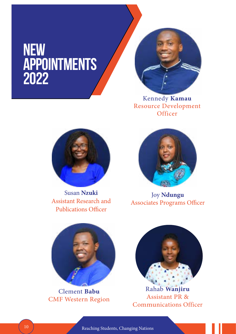## **new Appointments 2022**



Kennedy **Kamau** Resource Development **Officer** 



Susan **Nzuki** Assistant Research and Publications Officer



Joy **Ndungu** Associates Programs Officer



Clement **Babu** CMF Western Region



Rahab **Wanjiru** Assistant PR & Communications Officer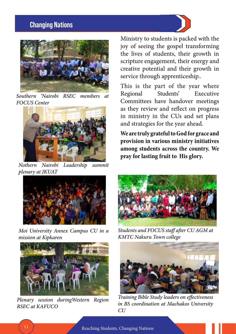### **Changing Nations**



*Southern 'Nairobi RSEC members at FOCUS Center*



*Nothern Nairobi Leadership summit plenary at JKUAT* 



*Moi University Annex Campus CU in a mission at Kipkaren* 



*Plenary session duringWestern Region RSEC at KAFUCO*

Ministry to students is packed with the joy of seeing the gospel transforming the lives of students, their growth in scripture engagement, their energy and creative potential and their growth in service through apprenticeship..

This is the part of the year where Regional Students' Executive Committees have handover meetings as they review and reflect on progress in ministry in the CUs and set plans and strategies for the year ahead.

**We are truly grateful to God for grace and provision in various ministry initiatives among students across the country. We pray for lasting fruit to His glory.**



*Students and FOCUS staff after CU AGM at KMTC Nakuru Town college*



*Training Bible Study leaders on effectiveness in BS coordination at Machakos University CU*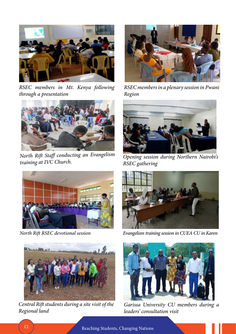

*RSEC members in Mt. Kenya following through a presentation*



*North Rift Staff conducting an Evangelism* 





*Central Rift students during a site visit of the Regional land* 



*RSEC members in a plenary session in Pwani Region*



**Opening session during Northern Nairobi's** *RSEC gathering*



*North Rift RSEC devotional session Evangelism training session in CUEA CU in Karen*



*Garissa University CU members during a leaders' consultation visit*